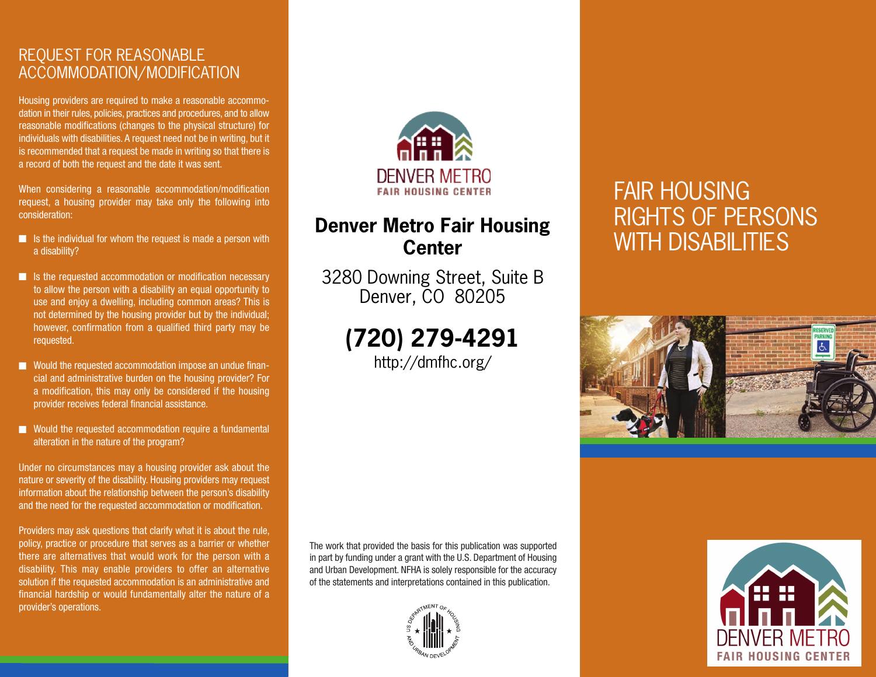## REQUEST FOR REASONABLE ACCOMMODATION/MODIFICATION

Housing providers are required to make a reasonable accommodation in their rules, policies, practices and procedures, and to allow reasonable modifications (changes to the physical structure) for individuals with disabilities. A request need not be in writing, but it is recommended that a request be made in writing so that there is a record of both the request and the date it was sent.

When considering a reasonable accommodation/modification request, a housing provider may take only the following into consideration:

- Is the individual for whom the request is made a person with a disability?
- Is the requested accommodation or modification necessary to allow the person with a disability an equal opportunity to use and enjoy a dwelling, including common areas? This is not determined by the housing provider but by the individual; however, confirmation from a qualified third party may be requested.
- Would the requested accommodation impose an undue financial and administrative burden on the housing provider? For a modification, this may only be considered if the housing provider receives federal financial assistance.
- Would the requested accommodation require a fundamental alteration in the nature of the program?

Under no circumstances may a housing provider ask about the nature or severity of the disability. Housing providers may request information about the relationship between the person's disability and the need for the requested accommodation or modification.

Providers may ask questions that clarify what it is about the rule, policy, practice or procedure that serves as a barrier or whether there are alternatives that would work for the person with a disability. This may enable providers to offer an alternative solution if the requested accommodation is an administrative and financial hardship or would fundamentally alter the nature of a provider's operations.



## **Denver Metro Fair Housing Center**

3280 Downing Street, Suite B Denver, CO 80205

**(720) 279-4291**

http://dmfhc.org/

# FAIR HOUSING RIGHTS OF PERSONS WITH DISABILITIES



The work that provided the basis for this publication was supported in part by funding under a grant with the U.S. Department of Housing and Urban Development. NFHA is solely responsible for the accuracy of the statements and interpretations contained in this publication.